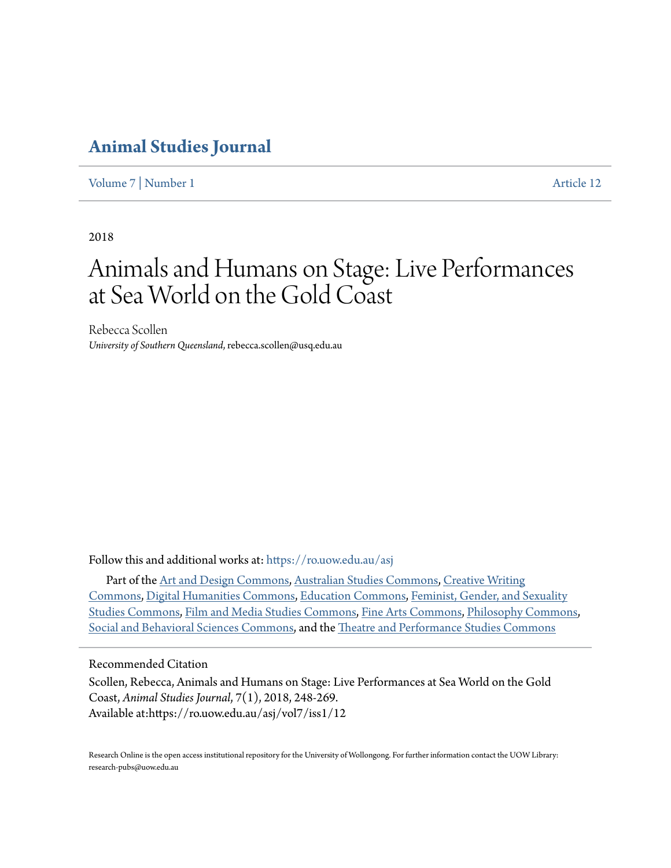### **[Animal Studies Journal](https://ro.uow.edu.au/asj?utm_source=ro.uow.edu.au%2Fasj%2Fvol7%2Fiss1%2F12&utm_medium=PDF&utm_campaign=PDFCoverPages)**

[Volume 7](https://ro.uow.edu.au/asj/vol7?utm_source=ro.uow.edu.au%2Fasj%2Fvol7%2Fiss1%2F12&utm_medium=PDF&utm_campaign=PDFCoverPages) | [Number 1](https://ro.uow.edu.au/asj/vol7/iss1?utm_source=ro.uow.edu.au%2Fasj%2Fvol7%2Fiss1%2F12&utm_medium=PDF&utm_campaign=PDFCoverPages) [Article 12](https://ro.uow.edu.au/asj/vol7/iss1/12?utm_source=ro.uow.edu.au%2Fasj%2Fvol7%2Fiss1%2F12&utm_medium=PDF&utm_campaign=PDFCoverPages)

2018

# Animals and Humans on Stage: Live Performances at Sea World on the Gold Coast

Rebecca Scollen *University of Southern Queensland*, rebecca.scollen@usq.edu.au

Follow this and additional works at: [https://ro.uow.edu.au/asj](https://ro.uow.edu.au/asj?utm_source=ro.uow.edu.au%2Fasj%2Fvol7%2Fiss1%2F12&utm_medium=PDF&utm_campaign=PDFCoverPages)

Part of the [Art and Design Commons,](http://network.bepress.com/hgg/discipline/1049?utm_source=ro.uow.edu.au%2Fasj%2Fvol7%2Fiss1%2F12&utm_medium=PDF&utm_campaign=PDFCoverPages) [Australian Studies Commons,](http://network.bepress.com/hgg/discipline/1020?utm_source=ro.uow.edu.au%2Fasj%2Fvol7%2Fiss1%2F12&utm_medium=PDF&utm_campaign=PDFCoverPages) [Creative Writing](http://network.bepress.com/hgg/discipline/574?utm_source=ro.uow.edu.au%2Fasj%2Fvol7%2Fiss1%2F12&utm_medium=PDF&utm_campaign=PDFCoverPages) [Commons,](http://network.bepress.com/hgg/discipline/574?utm_source=ro.uow.edu.au%2Fasj%2Fvol7%2Fiss1%2F12&utm_medium=PDF&utm_campaign=PDFCoverPages) [Digital Humanities Commons](http://network.bepress.com/hgg/discipline/1286?utm_source=ro.uow.edu.au%2Fasj%2Fvol7%2Fiss1%2F12&utm_medium=PDF&utm_campaign=PDFCoverPages), [Education Commons](http://network.bepress.com/hgg/discipline/784?utm_source=ro.uow.edu.au%2Fasj%2Fvol7%2Fiss1%2F12&utm_medium=PDF&utm_campaign=PDFCoverPages), [Feminist, Gender, and Sexuality](http://network.bepress.com/hgg/discipline/559?utm_source=ro.uow.edu.au%2Fasj%2Fvol7%2Fiss1%2F12&utm_medium=PDF&utm_campaign=PDFCoverPages) [Studies Commons](http://network.bepress.com/hgg/discipline/559?utm_source=ro.uow.edu.au%2Fasj%2Fvol7%2Fiss1%2F12&utm_medium=PDF&utm_campaign=PDFCoverPages), [Film and Media Studies Commons](http://network.bepress.com/hgg/discipline/563?utm_source=ro.uow.edu.au%2Fasj%2Fvol7%2Fiss1%2F12&utm_medium=PDF&utm_campaign=PDFCoverPages), [Fine Arts Commons,](http://network.bepress.com/hgg/discipline/1141?utm_source=ro.uow.edu.au%2Fasj%2Fvol7%2Fiss1%2F12&utm_medium=PDF&utm_campaign=PDFCoverPages) [Philosophy Commons](http://network.bepress.com/hgg/discipline/525?utm_source=ro.uow.edu.au%2Fasj%2Fvol7%2Fiss1%2F12&utm_medium=PDF&utm_campaign=PDFCoverPages), [Social and Behavioral Sciences Commons](http://network.bepress.com/hgg/discipline/316?utm_source=ro.uow.edu.au%2Fasj%2Fvol7%2Fiss1%2F12&utm_medium=PDF&utm_campaign=PDFCoverPages), and the [Theatre and Performance Studies Commons](http://network.bepress.com/hgg/discipline/552?utm_source=ro.uow.edu.au%2Fasj%2Fvol7%2Fiss1%2F12&utm_medium=PDF&utm_campaign=PDFCoverPages)

Recommended Citation

Scollen, Rebecca, Animals and Humans on Stage: Live Performances at Sea World on the Gold Coast, *Animal Studies Journal*, 7(1), 2018, 248-269. Available at:https://ro.uow.edu.au/asj/vol7/iss1/12

Research Online is the open access institutional repository for the University of Wollongong. For further information contact the UOW Library: research-pubs@uow.edu.au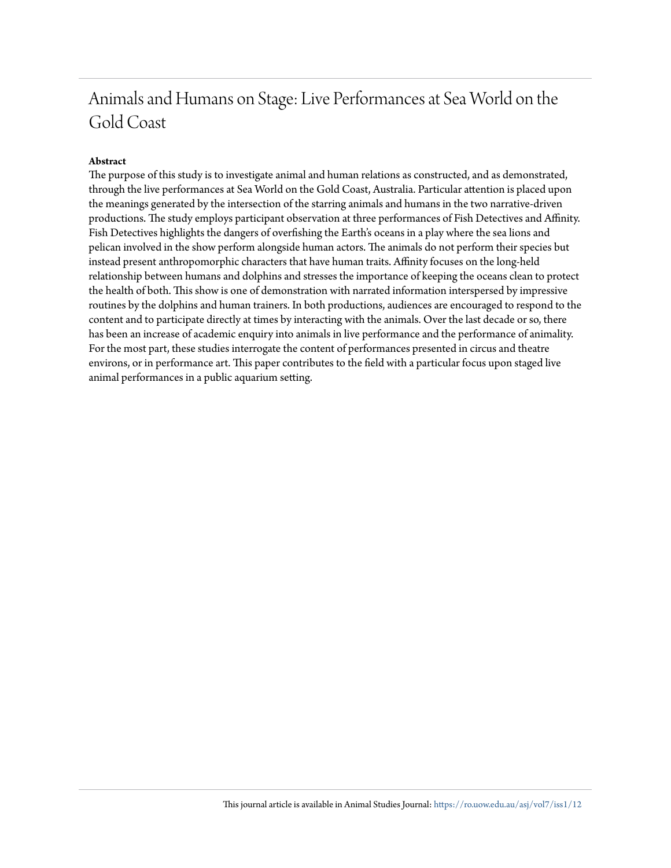## Animals and Humans on Stage: Live Performances at Sea World on the Gold Coast

#### **Abstract**

The purpose of this study is to investigate animal and human relations as constructed, and as demonstrated, through the live performances at Sea World on the Gold Coast, Australia. Particular attention is placed upon the meanings generated by the intersection of the starring animals and humans in the two narrative-driven productions. The study employs participant observation at three performances of Fish Detectives and Affinity. Fish Detectives highlights the dangers of overfishing the Earth's oceans in a play where the sea lions and pelican involved in the show perform alongside human actors. The animals do not perform their species but instead present anthropomorphic characters that have human traits. Affinity focuses on the long-held relationship between humans and dolphins and stresses the importance of keeping the oceans clean to protect the health of both. This show is one of demonstration with narrated information interspersed by impressive routines by the dolphins and human trainers. In both productions, audiences are encouraged to respond to the content and to participate directly at times by interacting with the animals. Over the last decade or so, there has been an increase of academic enquiry into animals in live performance and the performance of animality. For the most part, these studies interrogate the content of performances presented in circus and theatre environs, or in performance art. This paper contributes to the field with a particular focus upon staged live animal performances in a public aquarium setting.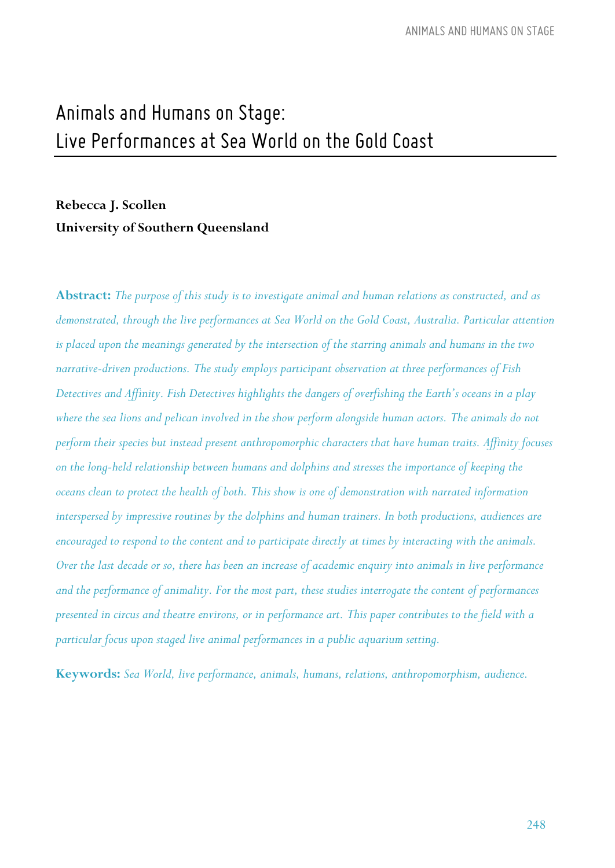## *Animals and Humans onStage: Live Performances at Sea Worldonthe GoldCoast*

### **Rebecca J. Scollen University of Southern Queensland**

**Abstract:** *The purpose of this study is to investigate animal and human relations as constructed, and as demonstrated, through the live performances at Sea World on the Gold Coast, Australia. Particular attention is placed upon the meanings generated by the intersection of the starring animals and humans in the two narrative-driven productions. The study employs participant observation at three performances of Fish Detectives and Affinity. Fish Detectives highlights the dangers of overfishing the Earth's oceans in a play*  where the sea lions and pelican involved in the show perform alongside human actors. The animals do not *perform their species but instead present anthropomorphic characters that have human traits. Affinity focuses on the long-held relationship between humans and dolphins and stresses the importance of keeping the oceans clean to protect the health of both. This show is one of demonstration with narrated information interspersed by impressive routines by the dolphins and human trainers. In both productions, audiences are encouraged to respond to the content and to participate directly at times by interacting with the animals. Over the last decade or so, there has been an increase of academic enquiry into animals in live performance and the performance of animality. For the most part, these studies interrogate the content of performances presented in circus and theatre environs, or in performance art. This paper contributes to the field with a particular focus upon staged live animal performances in a public aquarium setting.*

**Keywords:** *Sea World, live performance, animals, humans, relations, anthropomorphism, audience.*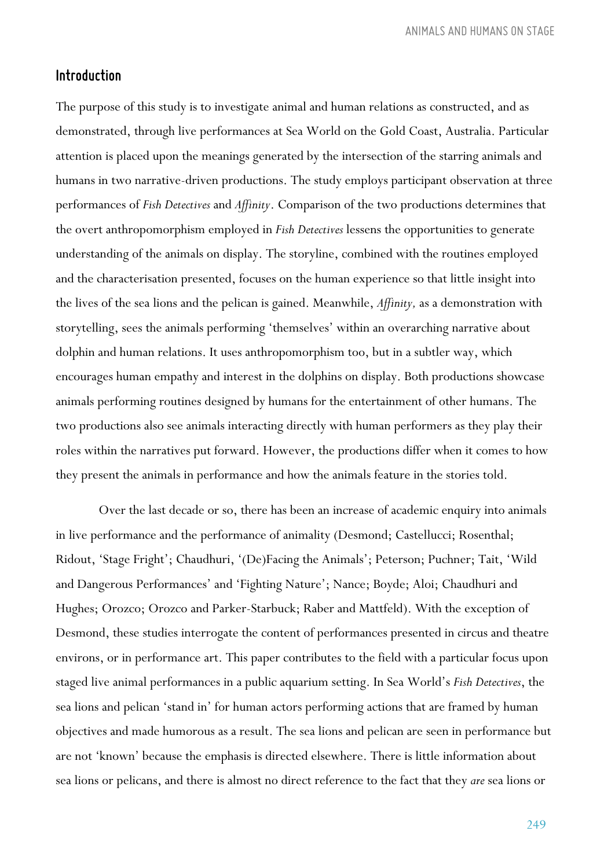#### *Introduction*

The purpose of this study is to investigate animal and human relations as constructed, and as demonstrated, through live performances at Sea World on the Gold Coast, Australia. Particular attention is placed upon the meanings generated by the intersection of the starring animals and humans in two narrative-driven productions. The study employs participant observation at three performances of *Fish Detectives* and *Affinity*. Comparison of the two productions determines that the overt anthropomorphism employed in *Fish Detectives* lessens the opportunities to generate understanding of the animals on display. The storyline, combined with the routines employed and the characterisation presented, focuses on the human experience so that little insight into the lives of the sea lions and the pelican is gained. Meanwhile, *Affinity,* as a demonstration with storytelling, sees the animals performing 'themselves' within an overarching narrative about dolphin and human relations. It uses anthropomorphism too, but in a subtler way, which encourages human empathy and interest in the dolphins on display. Both productions showcase animals performing routines designed by humans for the entertainment of other humans. The two productions also see animals interacting directly with human performers as they play their roles within the narratives put forward. However, the productions differ when it comes to how they present the animals in performance and how the animals feature in the stories told.

Over the last decade or so, there has been an increase of academic enquiry into animals in live performance and the performance of animality (Desmond; Castellucci; Rosenthal; Ridout, 'Stage Fright'; Chaudhuri, '(De)Facing the Animals'; Peterson; Puchner; Tait, 'Wild and Dangerous Performances' and 'Fighting Nature'; Nance; Boyde; Aloi; Chaudhuri and Hughes; Orozco; Orozco and Parker-Starbuck; Raber and Mattfeld). With the exception of Desmond, these studies interrogate the content of performances presented in circus and theatre environs, or in performance art. This paper contributes to the field with a particular focus upon staged live animal performances in a public aquarium setting. In Sea World's *Fish Detectives*, the sea lions and pelican 'stand in' for human actors performing actions that are framed by human objectives and made humorous as a result. The sea lions and pelican are seen in performance but are not 'known' because the emphasis is directed elsewhere. There is little information about sea lions or pelicans, and there is almost no direct reference to the fact that they *are* sea lions or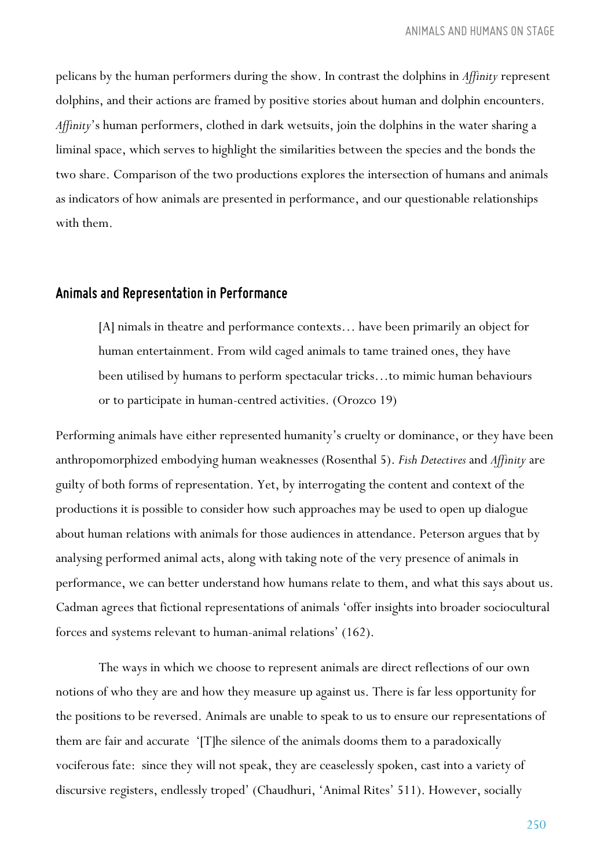pelicans by the human performers during the show. In contrast the dolphins in *Affinity* represent dolphins, and their actions are framed by positive stories about human and dolphin encounters. *Affinity*'s human performers, clothed in dark wetsuits, join the dolphins in the water sharing a liminal space, which serves to highlight the similarities between the species and the bonds the two share. Comparison of the two productions explores the intersection of humans and animals as indicators of how animals are presented in performance, and our questionable relationships with them.

#### *Animals and Representation in Performance*

[A] nimals in theatre and performance contexts… have been primarily an object for human entertainment. From wild caged animals to tame trained ones, they have been utilised by humans to perform spectacular tricks…to mimic human behaviours or to participate in human-centred activities. (Orozco 19)

Performing animals have either represented humanity's cruelty or dominance, or they have been anthropomorphized embodying human weaknesses (Rosenthal 5). *Fish Detectives* and *Affinity* are guilty of both forms of representation. Yet, by interrogating the content and context of the productions it is possible to consider how such approaches may be used to open up dialogue about human relations with animals for those audiences in attendance. Peterson argues that by analysing performed animal acts, along with taking note of the very presence of animals in performance, we can better understand how humans relate to them, and what this says about us. Cadman agrees that fictional representations of animals 'offer insights into broader sociocultural forces and systems relevant to human-animal relations' (162).

The ways in which we choose to represent animals are direct reflections of our own notions of who they are and how they measure up against us. There is far less opportunity for the positions to be reversed. Animals are unable to speak to us to ensure our representations of them are fair and accurate '[T]he silence of the animals dooms them to a paradoxically vociferous fate: since they will not speak, they are ceaselessly spoken, cast into a variety of discursive registers, endlessly troped' (Chaudhuri, 'Animal Rites' 511). However, socially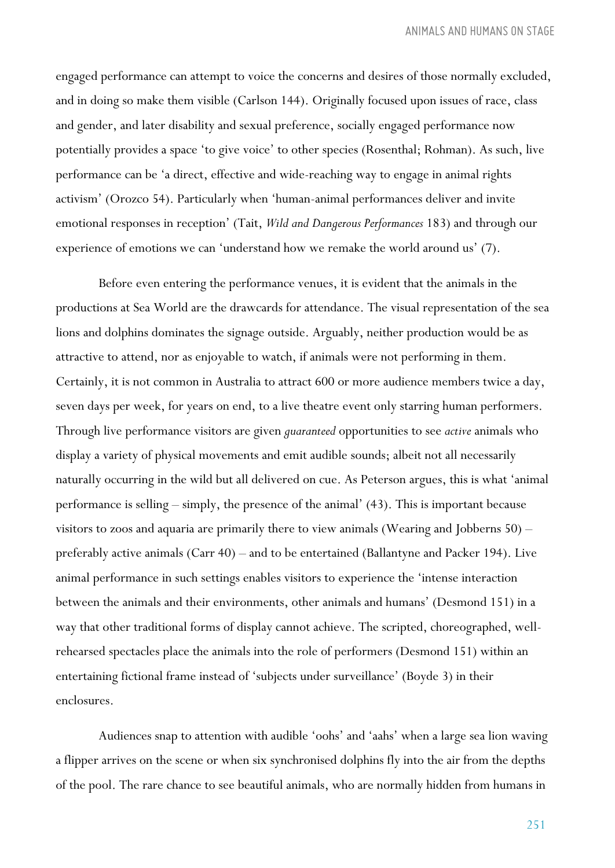engaged performance can attempt to voice the concerns and desires of those normally excluded, and in doing so make them visible (Carlson 144). Originally focused upon issues of race, class and gender, and later disability and sexual preference, socially engaged performance now potentially provides a space 'to give voice' to other species (Rosenthal; Rohman). As such, live performance can be 'a direct, effective and wide-reaching way to engage in animal rights activism' (Orozco 54). Particularly when 'human-animal performances deliver and invite emotional responses in reception' (Tait, *Wild and Dangerous Performances* 183) and through our experience of emotions we can 'understand how we remake the world around us' (7).

Before even entering the performance venues, it is evident that the animals in the productions at Sea World are the drawcards for attendance. The visual representation of the sea lions and dolphins dominates the signage outside. Arguably, neither production would be as attractive to attend, nor as enjoyable to watch, if animals were not performing in them. Certainly, it is not common in Australia to attract 600 or more audience members twice a day, seven days per week, for years on end, to a live theatre event only starring human performers. Through live performance visitors are given *guaranteed* opportunities to see *active* animals who display a variety of physical movements and emit audible sounds; albeit not all necessarily naturally occurring in the wild but all delivered on cue. As Peterson argues, this is what 'animal performance is selling – simply, the presence of the animal' (43). This is important because visitors to zoos and aquaria are primarily there to view animals (Wearing and Jobberns 50) – preferably active animals (Carr 40) – and to be entertained (Ballantyne and Packer 194). Live animal performance in such settings enables visitors to experience the 'intense interaction between the animals and their environments, other animals and humans' (Desmond 151) in a way that other traditional forms of display cannot achieve. The scripted, choreographed, wellrehearsed spectacles place the animals into the role of performers (Desmond 151) within an entertaining fictional frame instead of 'subjects under surveillance' (Boyde 3) in their enclosures.

Audiences snap to attention with audible 'oohs' and 'aahs' when a large sea lion waving a flipper arrives on the scene or when six synchronised dolphins fly into the air from the depths of the pool. The rare chance to see beautiful animals, who are normally hidden from humans in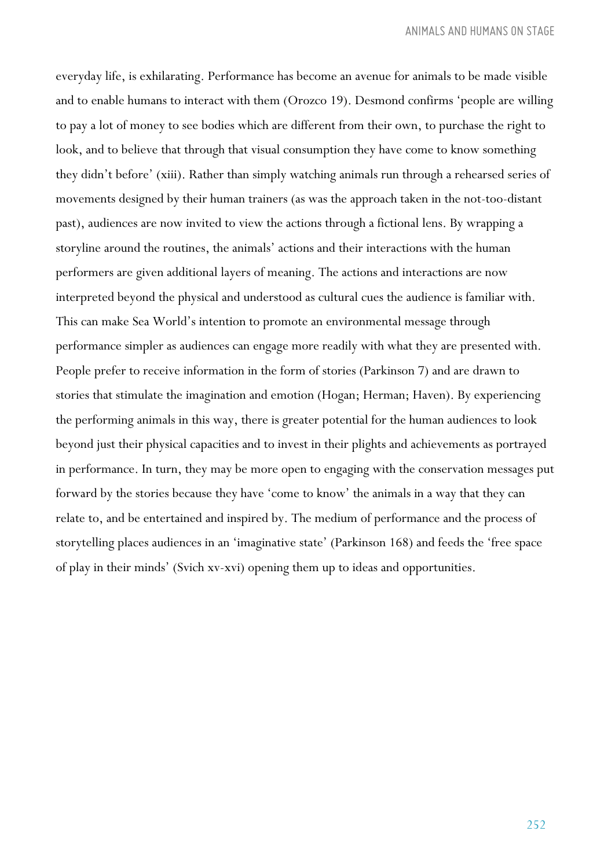everyday life, is exhilarating. Performance has become an avenue for animals to be made visible and to enable humans to interact with them (Orozco 19). Desmond confirms 'people are willing to pay a lot of money to see bodies which are different from their own, to purchase the right to look, and to believe that through that visual consumption they have come to know something they didn't before' (xiii). Rather than simply watching animals run through a rehearsed series of movements designed by their human trainers (as was the approach taken in the not-too-distant past), audiences are now invited to view the actions through a fictional lens. By wrapping a storyline around the routines, the animals' actions and their interactions with the human performers are given additional layers of meaning. The actions and interactions are now interpreted beyond the physical and understood as cultural cues the audience is familiar with. This can make Sea World's intention to promote an environmental message through performance simpler as audiences can engage more readily with what they are presented with. People prefer to receive information in the form of stories (Parkinson 7) and are drawn to stories that stimulate the imagination and emotion (Hogan; Herman; Haven). By experiencing the performing animals in this way, there is greater potential for the human audiences to look beyond just their physical capacities and to invest in their plights and achievements as portrayed in performance. In turn, they may be more open to engaging with the conservation messages put forward by the stories because they have 'come to know' the animals in a way that they can relate to, and be entertained and inspired by. The medium of performance and the process of storytelling places audiences in an 'imaginative state' (Parkinson 168) and feeds the 'free space of play in their minds' (Svich xv-xvi) opening them up to ideas and opportunities.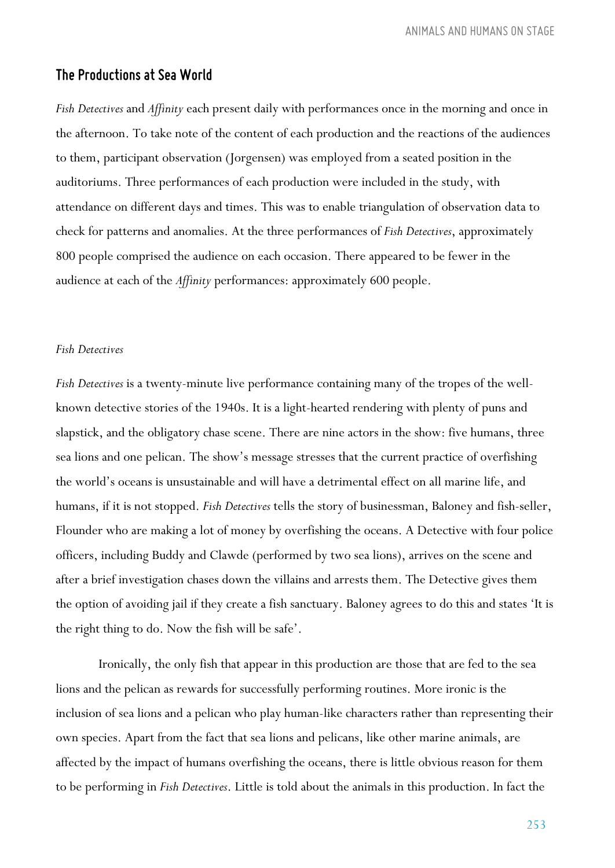#### *The Productions at Sea World*

*Fish Detectives* and *Affinity* each present daily with performances once in the morning and once in the afternoon. To take note of the content of each production and the reactions of the audiences to them, participant observation (Jorgensen) was employed from a seated position in the auditoriums. Three performances of each production were included in the study, with attendance on different days and times. This was to enable triangulation of observation data to check for patterns and anomalies. At the three performances of *Fish Detectives*, approximately 800 people comprised the audience on each occasion. There appeared to be fewer in the audience at each of the *Affinity* performances: approximately 600 people.

#### *Fish Detectives*

*Fish Detectives* is a twenty-minute live performance containing many of the tropes of the wellknown detective stories of the 1940s. It is a light-hearted rendering with plenty of puns and slapstick, and the obligatory chase scene. There are nine actors in the show: five humans, three sea lions and one pelican. The show's message stresses that the current practice of overfishing the world's oceans is unsustainable and will have a detrimental effect on all marine life, and humans, if it is not stopped. *Fish Detectives* tells the story of businessman, Baloney and fish-seller, Flounder who are making a lot of money by overfishing the oceans. A Detective with four police officers, including Buddy and Clawde (performed by two sea lions), arrives on the scene and after a brief investigation chases down the villains and arrests them. The Detective gives them the option of avoiding jail if they create a fish sanctuary. Baloney agrees to do this and states 'It is the right thing to do. Now the fish will be safe'.

Ironically, the only fish that appear in this production are those that are fed to the sea lions and the pelican as rewards for successfully performing routines. More ironic is the inclusion of sea lions and a pelican who play human-like characters rather than representing their own species. Apart from the fact that sea lions and pelicans, like other marine animals, are affected by the impact of humans overfishing the oceans, there is little obvious reason for them to be performing in *Fish Detectives*. Little is told about the animals in this production. In fact the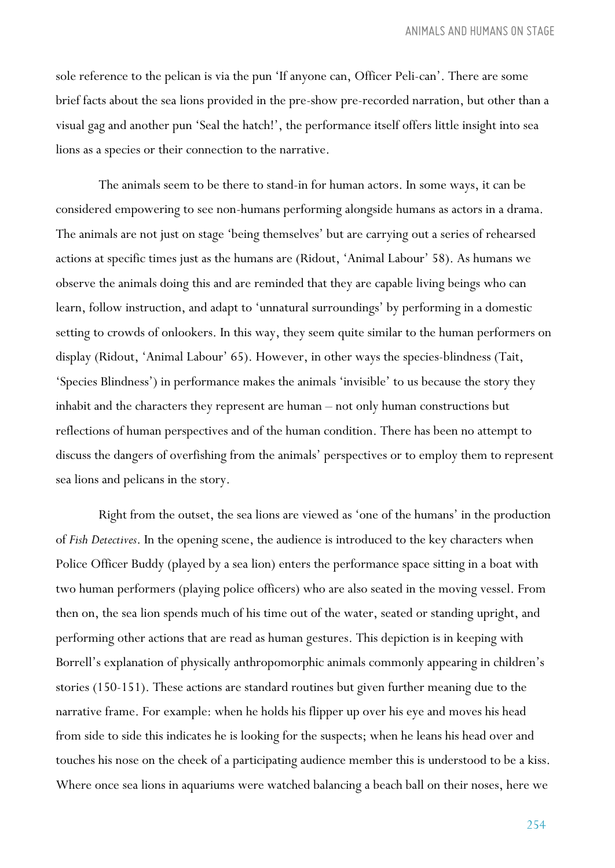sole reference to the pelican is via the pun 'If anyone can, Officer Peli-can'. There are some brief facts about the sea lions provided in the pre-show pre-recorded narration, but other than a visual gag and another pun 'Seal the hatch!', the performance itself offers little insight into sea lions as a species or their connection to the narrative.

The animals seem to be there to stand-in for human actors. In some ways, it can be considered empowering to see non-humans performing alongside humans as actors in a drama. The animals are not just on stage 'being themselves' but are carrying out a series of rehearsed actions at specific times just as the humans are (Ridout, 'Animal Labour' 58). As humans we observe the animals doing this and are reminded that they are capable living beings who can learn, follow instruction, and adapt to 'unnatural surroundings' by performing in a domestic setting to crowds of onlookers. In this way, they seem quite similar to the human performers on display (Ridout, 'Animal Labour' 65). However, in other ways the species-blindness (Tait, 'Species Blindness') in performance makes the animals 'invisible' to us because the story they inhabit and the characters they represent are human – not only human constructions but reflections of human perspectives and of the human condition. There has been no attempt to discuss the dangers of overfishing from the animals' perspectives or to employ them to represent sea lions and pelicans in the story.

Right from the outset, the sea lions are viewed as 'one of the humans' in the production of *Fish Detectives*. In the opening scene, the audience is introduced to the key characters when Police Officer Buddy (played by a sea lion) enters the performance space sitting in a boat with two human performers (playing police officers) who are also seated in the moving vessel. From then on, the sea lion spends much of his time out of the water, seated or standing upright, and performing other actions that are read as human gestures. This depiction is in keeping with Borrell's explanation of physically anthropomorphic animals commonly appearing in children's stories (150-151). These actions are standard routines but given further meaning due to the narrative frame. For example: when he holds his flipper up over his eye and moves his head from side to side this indicates he is looking for the suspects; when he leans his head over and touches his nose on the cheek of a participating audience member this is understood to be a kiss. Where once sea lions in aquariums were watched balancing a beach ball on their noses, here we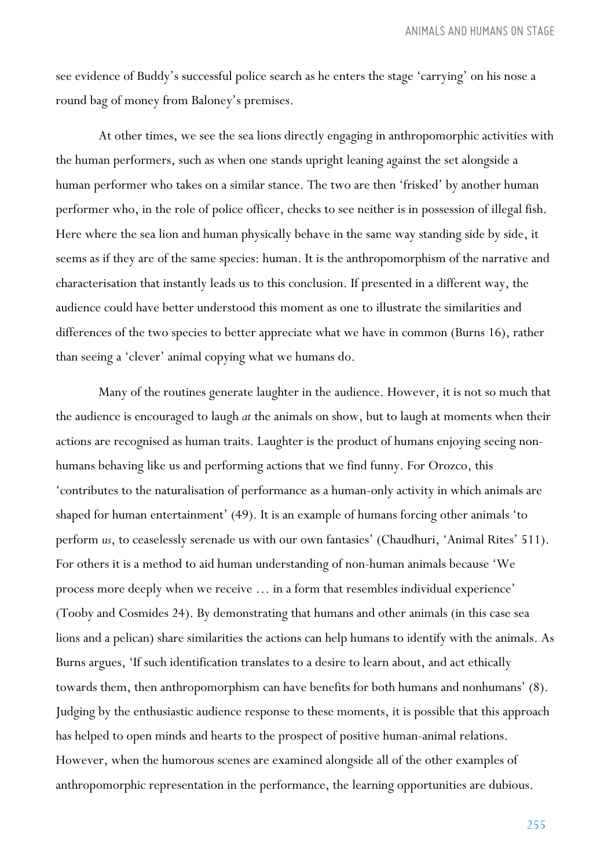see evidence of Buddy's successful police search as he enters the stage 'carrying' on his nose a round bag of money from Baloney's premises.

At other times, we see the sea lions directly engaging in anthropomorphic activities with the human performers, such as when one stands upright leaning against the set alongside a human performer who takes on a similar stance. The two are then 'frisked' by another human performer who, in the role of police officer, checks to see neither is in possession of illegal fish. Here where the sea lion and human physically behave in the same way standing side by side, it seems as if they are of the same species: human. It is the anthropomorphism of the narrative and characterisation that instantly leads us to this conclusion. If presented in a different way, the audience could have better understood this moment as one to illustrate the similarities and differences of the two species to better appreciate what we have in common (Burns 16), rather than seeing a 'clever' animal copying what we humans do.

Many of the routines generate laughter in the audience. However, it is not so much that the audience is encouraged to laugh *at* the animals on show, but to laugh at moments when their actions are recognised as human traits. Laughter is the product of humans enjoying seeing nonhumans behaving like us and performing actions that we find funny. For Orozco, this 'contributes to the naturalisation of performance as a human-only activity in which animals are shaped for human entertainment' (49). It is an example of humans forcing other animals 'to perform *us*, to ceaselessly serenade us with our own fantasies' (Chaudhuri, 'Animal Rites' 511). For others it is a method to aid human understanding of non-human animals because 'We process more deeply when we receive … in a form that resembles individual experience' (Tooby and Cosmides 24). By demonstrating that humans and other animals (in this case sea lions and a pelican) share similarities the actions can help humans to identify with the animals. As Burns argues, 'If such identification translates to a desire to learn about, and act ethically towards them, then anthropomorphism can have benefits for both humans and nonhumans' (8). Judging by the enthusiastic audience response to these moments, it is possible that this approach has helped to open minds and hearts to the prospect of positive human-animal relations. However, when the humorous scenes are examined alongside all of the other examples of anthropomorphic representation in the performance, the learning opportunities are dubious.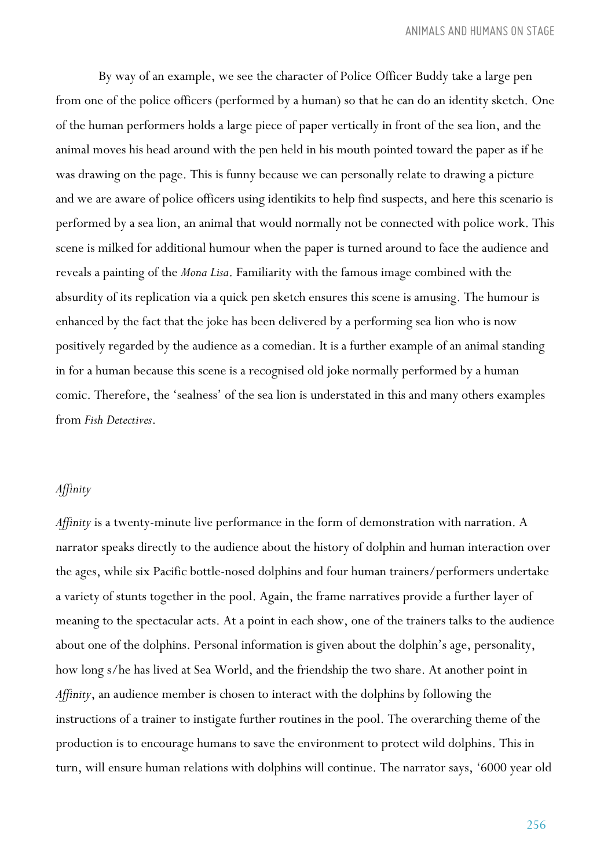By way of an example, we see the character of Police Officer Buddy take a large pen from one of the police officers (performed by a human) so that he can do an identity sketch. One of the human performers holds a large piece of paper vertically in front of the sea lion, and the animal moves his head around with the pen held in his mouth pointed toward the paper as if he was drawing on the page. This is funny because we can personally relate to drawing a picture and we are aware of police officers using identikits to help find suspects, and here this scenario is performed by a sea lion, an animal that would normally not be connected with police work. This scene is milked for additional humour when the paper is turned around to face the audience and reveals a painting of the *Mona Lisa*. Familiarity with the famous image combined with the absurdity of its replication via a quick pen sketch ensures this scene is amusing. The humour is enhanced by the fact that the joke has been delivered by a performing sea lion who is now positively regarded by the audience as a comedian. It is a further example of an animal standing in for a human because this scene is a recognised old joke normally performed by a human comic. Therefore, the 'sealness' of the sea lion is understated in this and many others examples from *Fish Detectives*.

#### *Affinity*

*Affinity* is a twenty-minute live performance in the form of demonstration with narration. A narrator speaks directly to the audience about the history of dolphin and human interaction over the ages, while six Pacific bottle-nosed dolphins and four human trainers/performers undertake a variety of stunts together in the pool. Again, the frame narratives provide a further layer of meaning to the spectacular acts. At a point in each show, one of the trainers talks to the audience about one of the dolphins. Personal information is given about the dolphin's age, personality, how long s/he has lived at Sea World, and the friendship the two share. At another point in *Affinity*, an audience member is chosen to interact with the dolphins by following the instructions of a trainer to instigate further routines in the pool. The overarching theme of the production is to encourage humans to save the environment to protect wild dolphins. This in turn, will ensure human relations with dolphins will continue. The narrator says, '6000 year old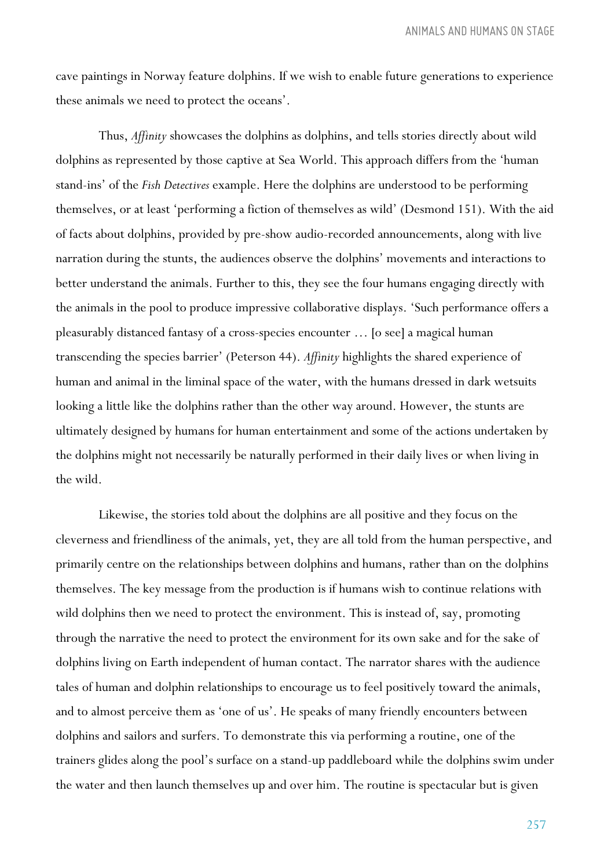cave paintings in Norway feature dolphins. If we wish to enable future generations to experience these animals we need to protect the oceans'.

Thus, *Affinity* showcases the dolphins as dolphins, and tells stories directly about wild dolphins as represented by those captive at Sea World. This approach differs from the 'human stand-ins' of the *Fish Detectives* example. Here the dolphins are understood to be performing themselves, or at least 'performing a fiction of themselves as wild' (Desmond 151). With the aid of facts about dolphins, provided by pre-show audio-recorded announcements, along with live narration during the stunts, the audiences observe the dolphins' movements and interactions to better understand the animals. Further to this, they see the four humans engaging directly with the animals in the pool to produce impressive collaborative displays. 'Such performance offers a pleasurably distanced fantasy of a cross-species encounter … [o see] a magical human transcending the species barrier' (Peterson 44). *Affinity* highlights the shared experience of human and animal in the liminal space of the water, with the humans dressed in dark wetsuits looking a little like the dolphins rather than the other way around. However, the stunts are ultimately designed by humans for human entertainment and some of the actions undertaken by the dolphins might not necessarily be naturally performed in their daily lives or when living in the wild.

Likewise, the stories told about the dolphins are all positive and they focus on the cleverness and friendliness of the animals, yet, they are all told from the human perspective, and primarily centre on the relationships between dolphins and humans, rather than on the dolphins themselves. The key message from the production is if humans wish to continue relations with wild dolphins then we need to protect the environment. This is instead of, say, promoting through the narrative the need to protect the environment for its own sake and for the sake of dolphins living on Earth independent of human contact. The narrator shares with the audience tales of human and dolphin relationships to encourage us to feel positively toward the animals, and to almost perceive them as 'one of us'. He speaks of many friendly encounters between dolphins and sailors and surfers. To demonstrate this via performing a routine, one of the trainers glides along the pool's surface on a stand-up paddleboard while the dolphins swim under the water and then launch themselves up and over him. The routine is spectacular but is given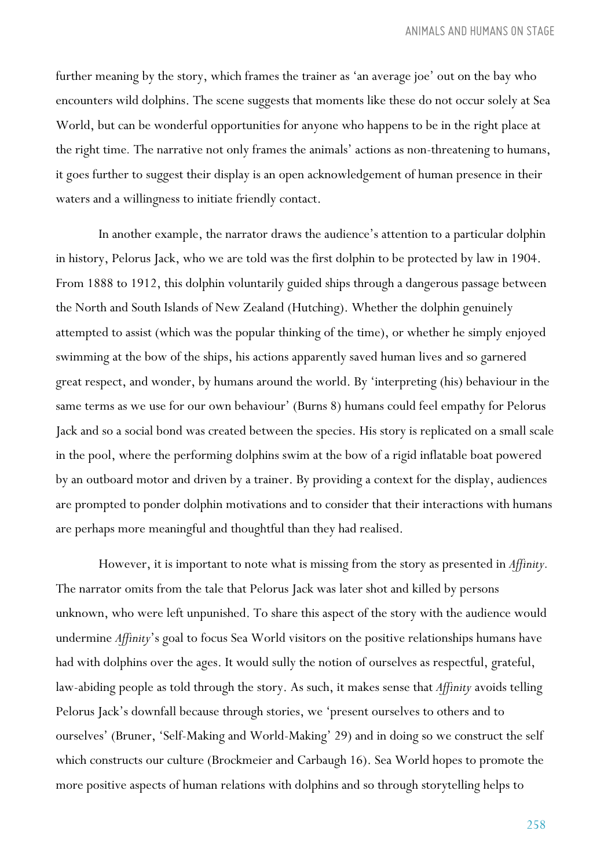further meaning by the story, which frames the trainer as 'an average joe' out on the bay who encounters wild dolphins. The scene suggests that moments like these do not occur solely at Sea World, but can be wonderful opportunities for anyone who happens to be in the right place at the right time*.* The narrative not only frames the animals' actions as non-threatening to humans, it goes further to suggest their display is an open acknowledgement of human presence in their waters and a willingness to initiate friendly contact.

In another example, the narrator draws the audience's attention to a particular dolphin in history, Pelorus Jack, who we are told was the first dolphin to be protected by law in 1904. From 1888 to 1912, this dolphin voluntarily guided ships through a dangerous passage between the North and South Islands of New Zealand (Hutching). Whether the dolphin genuinely attempted to assist (which was the popular thinking of the time), or whether he simply enjoyed swimming at the bow of the ships, his actions apparently saved human lives and so garnered great respect, and wonder, by humans around the world. By 'interpreting (his) behaviour in the same terms as we use for our own behaviour' (Burns 8) humans could feel empathy for Pelorus Jack and so a social bond was created between the species. His story is replicated on a small scale in the pool, where the performing dolphins swim at the bow of a rigid inflatable boat powered by an outboard motor and driven by a trainer. By providing a context for the display, audiences are prompted to ponder dolphin motivations and to consider that their interactions with humans are perhaps more meaningful and thoughtful than they had realised.

However, it is important to note what is missing from the story as presented in *Affinity.* The narrator omits from the tale that Pelorus Jack was later shot and killed by persons unknown, who were left unpunished. To share this aspect of the story with the audience would undermine *Affinity*'s goal to focus Sea World visitors on the positive relationships humans have had with dolphins over the ages. It would sully the notion of ourselves as respectful, grateful, law-abiding people as told through the story. As such, it makes sense that *Affinity* avoids telling Pelorus Jack's downfall because through stories, we 'present ourselves to others and to ourselves' (Bruner, 'Self-Making and World-Making' 29) and in doing so we construct the self which constructs our culture (Brockmeier and Carbaugh 16). Sea World hopes to promote the more positive aspects of human relations with dolphins and so through storytelling helps to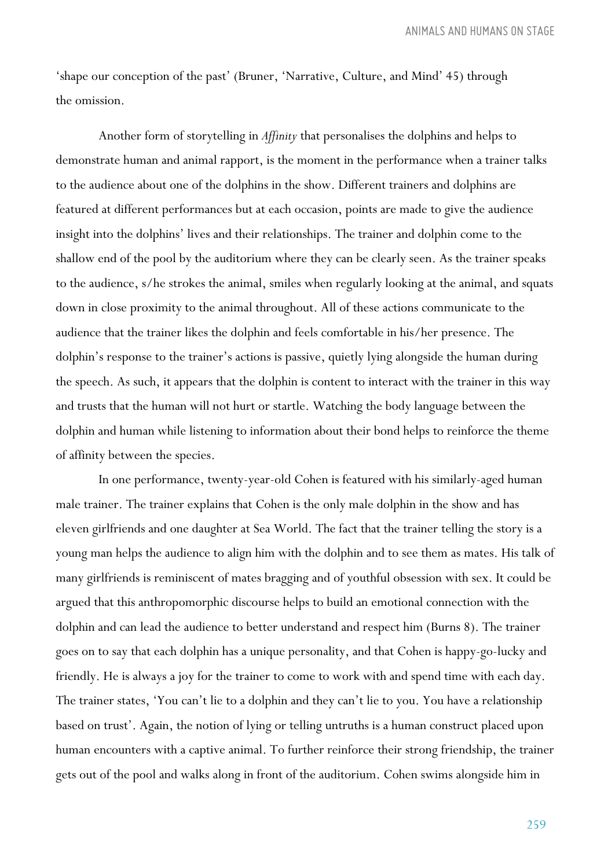*ANIMALS AND HUMANS ON STAGE*

'shape our conception of the past' (Bruner, 'Narrative, Culture, and Mind' 45) through the omission.

Another form of storytelling in *Affinity* that personalises the dolphins and helps to demonstrate human and animal rapport, is the moment in the performance when a trainer talks to the audience about one of the dolphins in the show. Different trainers and dolphins are featured at different performances but at each occasion, points are made to give the audience insight into the dolphins' lives and their relationships. The trainer and dolphin come to the shallow end of the pool by the auditorium where they can be clearly seen. As the trainer speaks to the audience, s/he strokes the animal, smiles when regularly looking at the animal, and squats down in close proximity to the animal throughout. All of these actions communicate to the audience that the trainer likes the dolphin and feels comfortable in his/her presence. The dolphin's response to the trainer's actions is passive, quietly lying alongside the human during the speech. As such, it appears that the dolphin is content to interact with the trainer in this way and trusts that the human will not hurt or startle. Watching the body language between the dolphin and human while listening to information about their bond helps to reinforce the theme of affinity between the species.

In one performance, twenty-year-old Cohen is featured with his similarly-aged human male trainer. The trainer explains that Cohen is the only male dolphin in the show and has eleven girlfriends and one daughter at Sea World. The fact that the trainer telling the story is a young man helps the audience to align him with the dolphin and to see them as mates. His talk of many girlfriends is reminiscent of mates bragging and of youthful obsession with sex. It could be argued that this anthropomorphic discourse helps to build an emotional connection with the dolphin and can lead the audience to better understand and respect him (Burns 8). The trainer goes on to say that each dolphin has a unique personality, and that Cohen is happy-go-lucky and friendly. He is always a joy for the trainer to come to work with and spend time with each day. The trainer states, 'You can't lie to a dolphin and they can't lie to you. You have a relationship based on trust'. Again, the notion of lying or telling untruths is a human construct placed upon human encounters with a captive animal. To further reinforce their strong friendship, the trainer gets out of the pool and walks along in front of the auditorium. Cohen swims alongside him in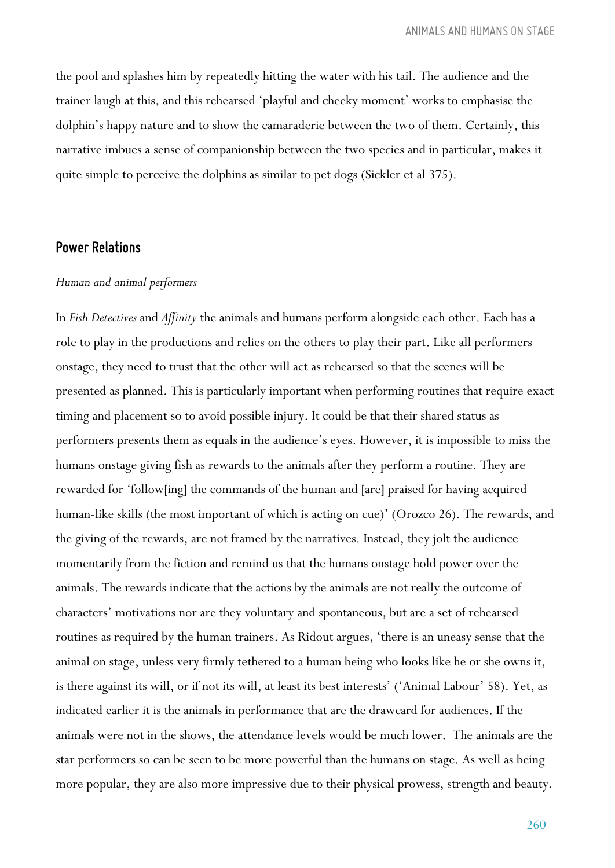the pool and splashes him by repeatedly hitting the water with his tail. The audience and the trainer laugh at this, and this rehearsed 'playful and cheeky moment' works to emphasise the dolphin's happy nature and to show the camaraderie between the two of them. Certainly, this narrative imbues a sense of companionship between the two species and in particular, makes it quite simple to perceive the dolphins as similar to pet dogs (Sickler et al 375).

#### *Power Relations*

#### *Human and animal performers*

In *Fish Detectives* and *Affinity* the animals and humans perform alongside each other. Each has a role to play in the productions and relies on the others to play their part. Like all performers onstage, they need to trust that the other will act as rehearsed so that the scenes will be presented as planned. This is particularly important when performing routines that require exact timing and placement so to avoid possible injury. It could be that their shared status as performers presents them as equals in the audience's eyes. However, it is impossible to miss the humans onstage giving fish as rewards to the animals after they perform a routine. They are rewarded for 'follow[ing] the commands of the human and [are] praised for having acquired human-like skills (the most important of which is acting on cue)' (Orozco 26). The rewards, and the giving of the rewards, are not framed by the narratives. Instead, they jolt the audience momentarily from the fiction and remind us that the humans onstage hold power over the animals. The rewards indicate that the actions by the animals are not really the outcome of characters' motivations nor are they voluntary and spontaneous, but are a set of rehearsed routines as required by the human trainers. As Ridout argues, 'there is an uneasy sense that the animal on stage, unless very firmly tethered to a human being who looks like he or she owns it, is there against its will, or if not its will, at least its best interests' ('Animal Labour' 58). Yet, as indicated earlier it is the animals in performance that are the drawcard for audiences. If the animals were not in the shows, the attendance levels would be much lower. The animals are the star performers so can be seen to be more powerful than the humans on stage. As well as being more popular, they are also more impressive due to their physical prowess, strength and beauty.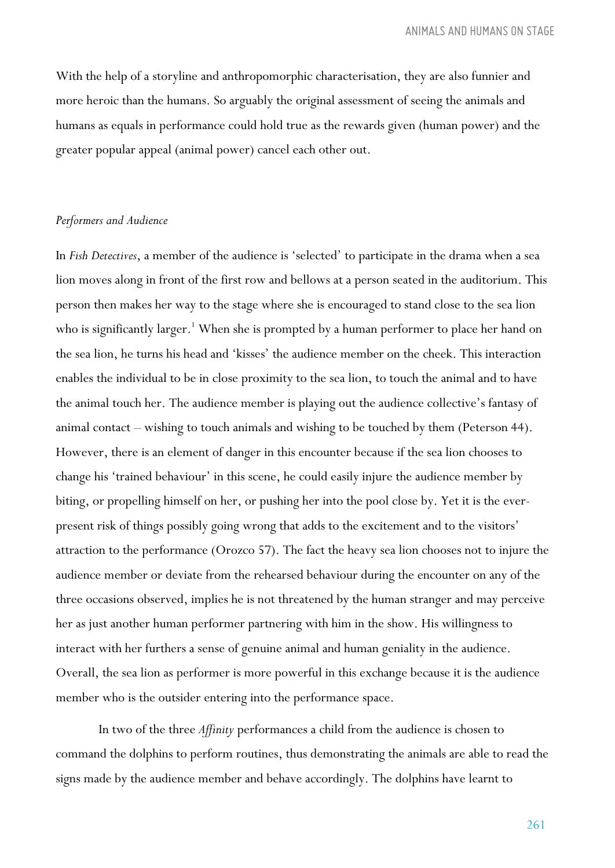With the help of a storyline and anthropomorphic characterisation, they are also funnier and more heroic than the humans. So arguably the original assessment of seeing the animals and humans as equals in performance could hold true as the rewards given (human power) and the greater popular appeal (animal power) cancel each other out.

#### *Performers and Audience*

In *Fish Detectives*, a member of the audience is 'selected' to participate in the drama when a sea lion moves along in front of the first row and bellows at a person seated in the auditorium. This person then makes her way to the stage where she is encouraged to stand close to the sea lion who is significantly larger.<sup>1</sup> When she is prompted by a human performer to place her hand on the sea lion, he turns his head and 'kisses' the audience member on the cheek. This interaction enables the individual to be in close proximity to the sea lion, to touch the animal and to have the animal touch her. The audience member is playing out the audience collective's fantasy of animal contact – wishing to touch animals and wishing to be touched by them (Peterson 44). However, there is an element of danger in this encounter because if the sea lion chooses to change his 'trained behaviour' in this scene, he could easily injure the audience member by biting, or propelling himself on her, or pushing her into the pool close by. Yet it is the everpresent risk of things possibly going wrong that adds to the excitement and to the visitors' attraction to the performance (Orozco 57). The fact the heavy sea lion chooses not to injure the audience member or deviate from the rehearsed behaviour during the encounter on any of the three occasions observed, implies he is not threatened by the human stranger and may perceive her as just another human performer partnering with him in the show. His willingness to interact with her furthers a sense of genuine animal and human geniality in the audience. Overall, the sea lion as performer is more powerful in this exchange because it is the audience member who is the outsider entering into the performance space.

In two of the three *Affinity* performances a child from the audience is chosen to command the dolphins to perform routines, thus demonstrating the animals are able to read the signs made by the audience member and behave accordingly. The dolphins have learnt to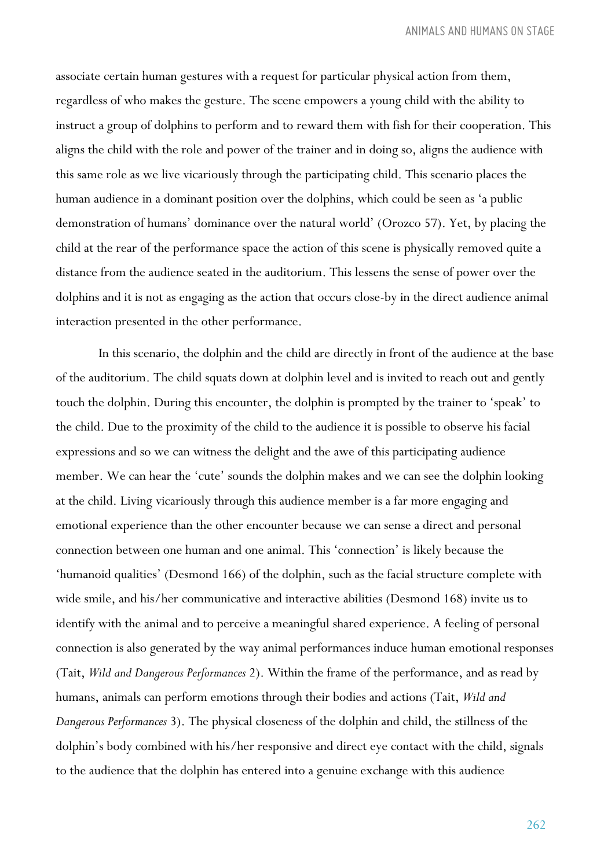associate certain human gestures with a request for particular physical action from them, regardless of who makes the gesture. The scene empowers a young child with the ability to instruct a group of dolphins to perform and to reward them with fish for their cooperation. This aligns the child with the role and power of the trainer and in doing so, aligns the audience with this same role as we live vicariously through the participating child. This scenario places the human audience in a dominant position over the dolphins, which could be seen as 'a public demonstration of humans' dominance over the natural world' (Orozco 57). Yet, by placing the child at the rear of the performance space the action of this scene is physically removed quite a distance from the audience seated in the auditorium. This lessens the sense of power over the dolphins and it is not as engaging as the action that occurs close-by in the direct audience animal interaction presented in the other performance.

In this scenario, the dolphin and the child are directly in front of the audience at the base of the auditorium. The child squats down at dolphin level and is invited to reach out and gently touch the dolphin. During this encounter, the dolphin is prompted by the trainer to 'speak' to the child. Due to the proximity of the child to the audience it is possible to observe his facial expressions and so we can witness the delight and the awe of this participating audience member. We can hear the 'cute' sounds the dolphin makes and we can see the dolphin looking at the child. Living vicariously through this audience member is a far more engaging and emotional experience than the other encounter because we can sense a direct and personal connection between one human and one animal. This 'connection' is likely because the 'humanoid qualities' (Desmond 166) of the dolphin, such as the facial structure complete with wide smile, and his/her communicative and interactive abilities (Desmond 168) invite us to identify with the animal and to perceive a meaningful shared experience. A feeling of personal connection is also generated by the way animal performances induce human emotional responses (Tait, *Wild and Dangerous Performances* 2). Within the frame of the performance, and as read by humans, animals can perform emotions through their bodies and actions (Tait, *Wild and Dangerous Performances* 3). The physical closeness of the dolphin and child, the stillness of the dolphin's body combined with his/her responsive and direct eye contact with the child, signals to the audience that the dolphin has entered into a genuine exchange with this audience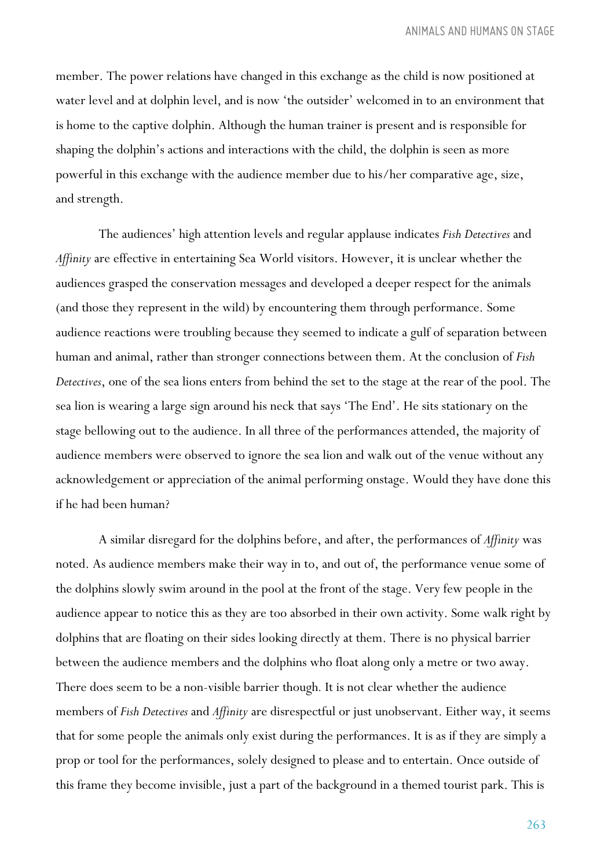*ANIMALS AND HUMANS ON STAGE*

member. The power relations have changed in this exchange as the child is now positioned at water level and at dolphin level, and is now 'the outsider' welcomed in to an environment that is home to the captive dolphin. Although the human trainer is present and is responsible for shaping the dolphin's actions and interactions with the child, the dolphin is seen as more powerful in this exchange with the audience member due to his/her comparative age, size, and strength.

The audiences' high attention levels and regular applause indicates *Fish Detectives* and *Affinity* are effective in entertaining Sea World visitors. However, it is unclear whether the audiences grasped the conservation messages and developed a deeper respect for the animals (and those they represent in the wild) by encountering them through performance. Some audience reactions were troubling because they seemed to indicate a gulf of separation between human and animal, rather than stronger connections between them. At the conclusion of *Fish Detectives*, one of the sea lions enters from behind the set to the stage at the rear of the pool. The sea lion is wearing a large sign around his neck that says 'The End'. He sits stationary on the stage bellowing out to the audience. In all three of the performances attended, the majority of audience members were observed to ignore the sea lion and walk out of the venue without any acknowledgement or appreciation of the animal performing onstage. Would they have done this if he had been human?

A similar disregard for the dolphins before, and after, the performances of *Affinity* was noted. As audience members make their way in to, and out of, the performance venue some of the dolphins slowly swim around in the pool at the front of the stage. Very few people in the audience appear to notice this as they are too absorbed in their own activity. Some walk right by dolphins that are floating on their sides looking directly at them. There is no physical barrier between the audience members and the dolphins who float along only a metre or two away. There does seem to be a non-visible barrier though*.* It is not clear whether the audience members of *Fish Detectives* and *Affinity* are disrespectful or just unobservant. Either way, it seems that for some people the animals only exist during the performances. It is as if they are simply a prop or tool for the performances, solely designed to please and to entertain. Once outside of this frame they become invisible, just a part of the background in a themed tourist park. This is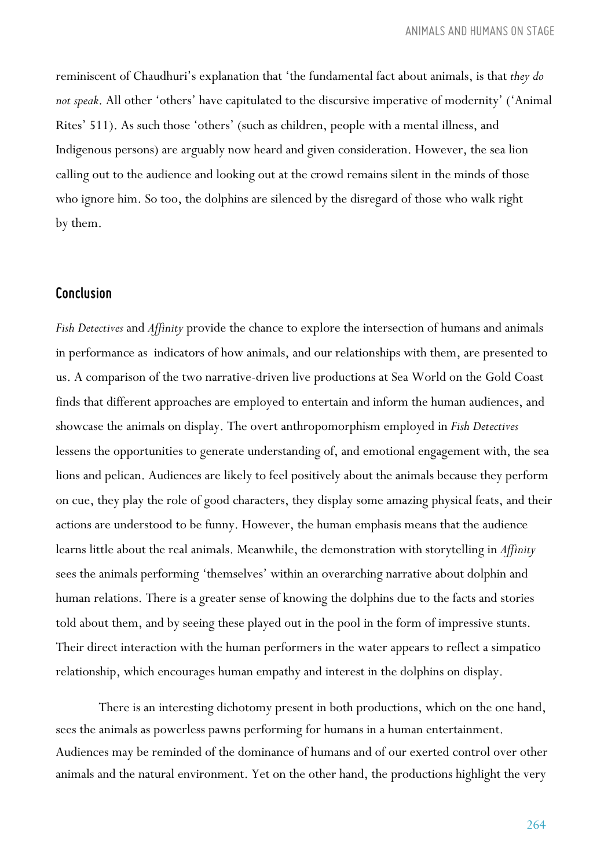reminiscent of Chaudhuri's explanation that 'the fundamental fact about animals, is that *they do not speak*. All other 'others' have capitulated to the discursive imperative of modernity' ('Animal Rites' 511). As such those 'others' (such as children, people with a mental illness, and Indigenous persons) are arguably now heard and given consideration. However, the sea lion calling out to the audience and looking out at the crowd remains silent in the minds of those who ignore him. So too, the dolphins are silenced by the disregard of those who walk right by them.

#### *Conclusion*

*Fish Detectives* and *Affinity* provide the chance to explore the intersection of humans and animals in performance as indicators of how animals, and our relationships with them, are presented to us. A comparison of the two narrative-driven live productions at Sea World on the Gold Coast finds that different approaches are employed to entertain and inform the human audiences, and showcase the animals on display. The overt anthropomorphism employed in *Fish Detectives* lessens the opportunities to generate understanding of, and emotional engagement with, the sea lions and pelican. Audiences are likely to feel positively about the animals because they perform on cue, they play the role of good characters, they display some amazing physical feats, and their actions are understood to be funny. However, the human emphasis means that the audience learns little about the real animals. Meanwhile, the demonstration with storytelling in *Affinity* sees the animals performing 'themselves' within an overarching narrative about dolphin and human relations. There is a greater sense of knowing the dolphins due to the facts and stories told about them, and by seeing these played out in the pool in the form of impressive stunts. Their direct interaction with the human performers in the water appears to reflect a simpatico relationship, which encourages human empathy and interest in the dolphins on display.

There is an interesting dichotomy present in both productions, which on the one hand, sees the animals as powerless pawns performing for humans in a human entertainment. Audiences may be reminded of the dominance of humans and of our exerted control over other animals and the natural environment. Yet on the other hand, the productions highlight the very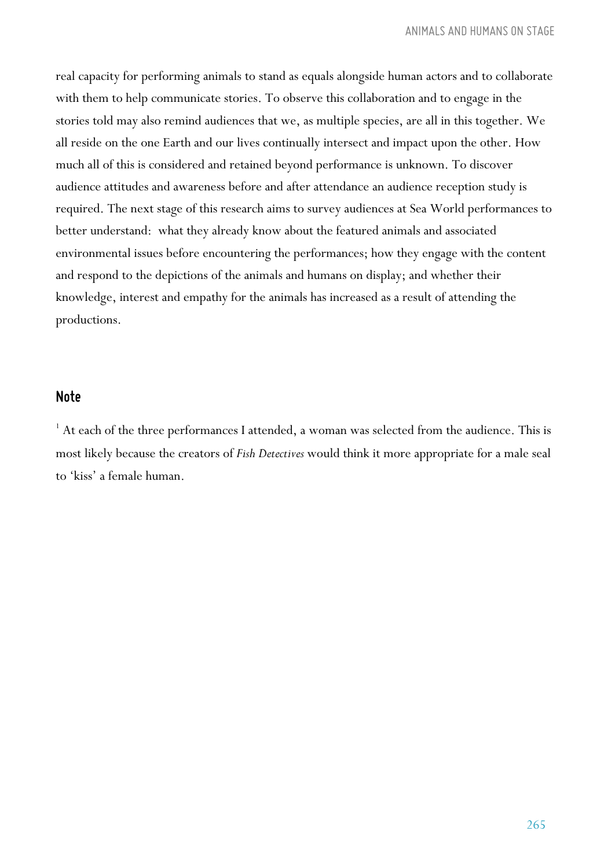real capacity for performing animals to stand as equals alongside human actors and to collaborate with them to help communicate stories. To observe this collaboration and to engage in the stories told may also remind audiences that we, as multiple species, are all in this together. We all reside on the one Earth and our lives continually intersect and impact upon the other. How much all of this is considered and retained beyond performance is unknown. To discover audience attitudes and awareness before and after attendance an audience reception study is required. The next stage of this research aims to survey audiences at Sea World performances to better understand: what they already know about the featured animals and associated environmental issues before encountering the performances; how they engage with the content and respond to the depictions of the animals and humans on display; and whether their knowledge, interest and empathy for the animals has increased as a result of attending the productions.

#### *Note*

 $1$  At each of the three performances I attended, a woman was selected from the audience. This is most likely because the creators of *Fish Detectives* would think it more appropriate for a male seal to 'kiss' a female human.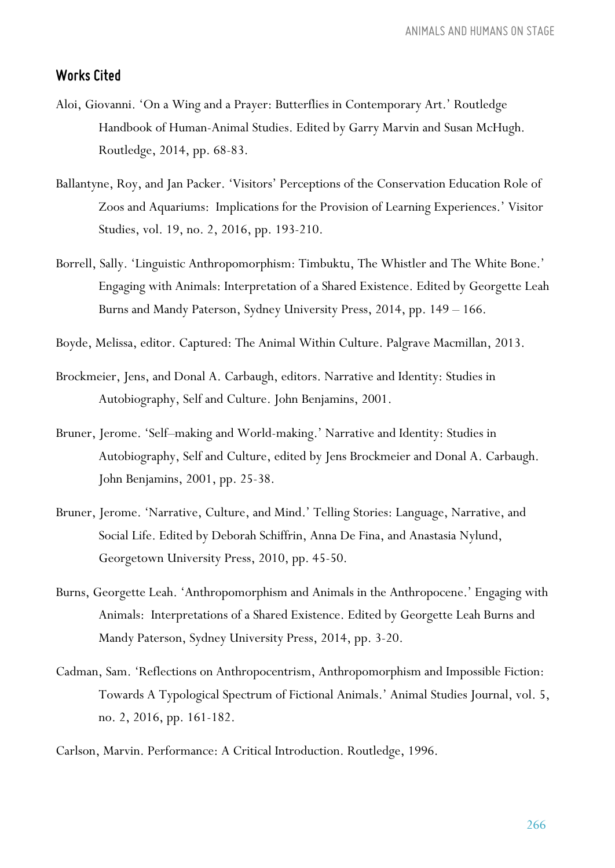#### *Works Cited*

- Aloi, Giovanni. 'On a Wing and a Prayer: Butterflies in Contemporary Art.' Routledge Handbook of Human-Animal Studies. Edited by Garry Marvin and Susan McHugh. Routledge, 2014, pp. 68-83.
- Ballantyne, Roy, and Jan Packer. 'Visitors' Perceptions of the Conservation Education Role of Zoos and Aquariums: Implications for the Provision of Learning Experiences.' Visitor Studies, vol. 19, no. 2, 2016, pp. 193-210.
- Borrell, Sally. 'Linguistic Anthropomorphism: Timbuktu, The Whistler and The White Bone.' Engaging with Animals: Interpretation of a Shared Existence. Edited by Georgette Leah Burns and Mandy Paterson, Sydney University Press, 2014, pp. 149 – 166.
- Boyde, Melissa, editor. Captured: The Animal Within Culture. Palgrave Macmillan, 2013.
- Brockmeier, Jens, and Donal A. Carbaugh, editors. Narrative and Identity: Studies in Autobiography, Self and Culture. John Benjamins, 2001.
- Bruner, Jerome. 'Self–making and World-making.' Narrative and Identity: Studies in Autobiography, Self and Culture, edited by Jens Brockmeier and Donal A. Carbaugh. John Benjamins, 2001, pp. 25-38.
- Bruner, Jerome. 'Narrative, Culture, and Mind.' Telling Stories: Language, Narrative, and Social Life. Edited by Deborah Schiffrin, Anna De Fina, and Anastasia Nylund, Georgetown University Press, 2010, pp. 45-50.
- Burns, Georgette Leah. 'Anthropomorphism and Animals in the Anthropocene.' Engaging with Animals: Interpretations of a Shared Existence. Edited by Georgette Leah Burns and Mandy Paterson, Sydney University Press, 2014, pp. 3-20.
- Cadman, Sam. 'Reflections on Anthropocentrism, Anthropomorphism and Impossible Fiction: Towards A Typological Spectrum of Fictional Animals.' Animal Studies Journal, vol. 5, no. 2, 2016, pp. 161-182.

Carlson, Marvin. Performance: A Critical Introduction. Routledge, 1996.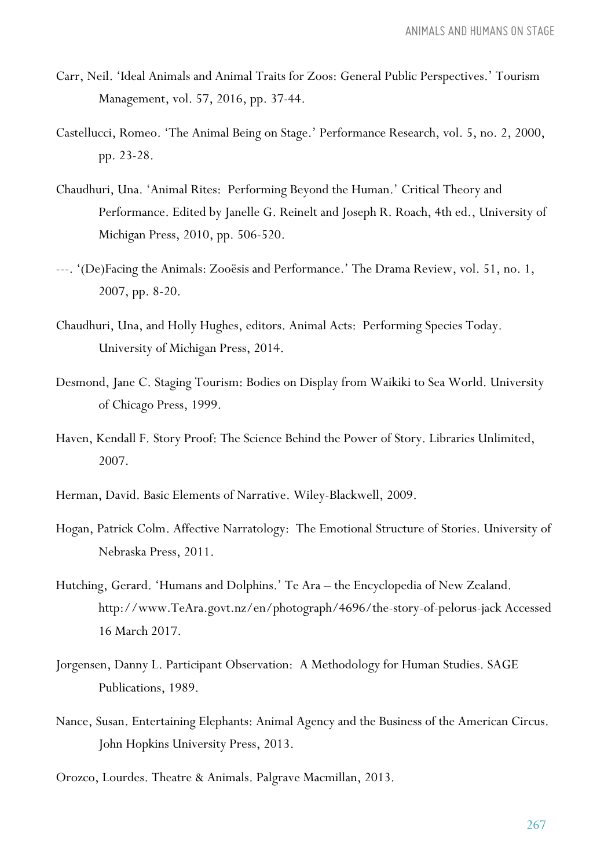- Carr, Neil. 'Ideal Animals and Animal Traits for Zoos: General Public Perspectives.' Tourism Management, vol. 57, 2016, pp. 37-44.
- Castellucci, Romeo. 'The Animal Being on Stage.' Performance Research, vol. 5, no. 2, 2000, pp. 23-28.
- Chaudhuri, Una. 'Animal Rites: Performing Beyond the Human.' Critical Theory and Performance. Edited by Janelle G. Reinelt and Joseph R. Roach, 4th ed., University of Michigan Press, 2010, pp. 506-520.
- ---. '(De)Facing the Animals: Zooësis and Performance.' The Drama Review, vol. 51, no. 1, 2007, pp. 8-20.
- Chaudhuri, Una, and Holly Hughes, editors. Animal Acts: Performing Species Today. University of Michigan Press, 2014.
- Desmond, Jane C. Staging Tourism: Bodies on Display from Waikiki to Sea World. University of Chicago Press, 1999.
- Haven, Kendall F. Story Proof: The Science Behind the Power of Story. Libraries Unlimited, 2007.
- Herman, David. Basic Elements of Narrative. Wiley-Blackwell, 2009.
- Hogan, Patrick Colm. Affective Narratology: The Emotional Structure of Stories. University of Nebraska Press, 2011.
- Hutching, Gerard. 'Humans and Dolphins.' Te Ara the Encyclopedia of New Zealand. http://www.TeAra.govt.nz/en/photograph/4696/the-story-of-pelorus-jack Accessed 16 March 2017.
- Jorgensen, Danny L. Participant Observation: A Methodology for Human Studies. SAGE Publications, 1989.
- Nance, Susan. Entertaining Elephants: Animal Agency and the Business of the American Circus. John Hopkins University Press, 2013.
- Orozco, Lourdes. Theatre & Animals. Palgrave Macmillan, 2013.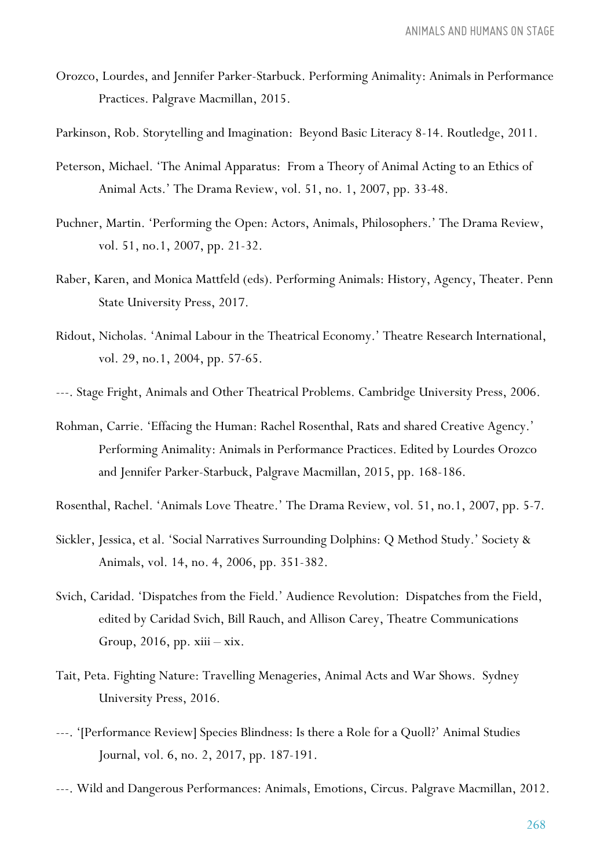- Orozco, Lourdes, and Jennifer Parker-Starbuck. Performing Animality: Animals in Performance Practices. Palgrave Macmillan, 2015.
- Parkinson, Rob. Storytelling and Imagination: Beyond Basic Literacy 8-14. Routledge, 2011.
- Peterson, Michael. 'The Animal Apparatus: From a Theory of Animal Acting to an Ethics of Animal Acts.' The Drama Review, vol. 51, no. 1, 2007, pp. 33-48.
- Puchner, Martin. 'Performing the Open: Actors, Animals, Philosophers.' The Drama Review, vol. 51, no.1, 2007, pp. 21-32.
- Raber, Karen, and Monica Mattfeld (eds). Performing Animals: History, Agency, Theater. Penn State University Press, 2017.
- Ridout, Nicholas. 'Animal Labour in the Theatrical Economy.' Theatre Research International, vol. 29, no.1, 2004, pp. 57-65.
- ---. Stage Fright, Animals and Other Theatrical Problems. Cambridge University Press, 2006.
- Rohman, Carrie. 'Effacing the Human: Rachel Rosenthal, Rats and shared Creative Agency.' Performing Animality: Animals in Performance Practices. Edited by Lourdes Orozco and Jennifer Parker-Starbuck, Palgrave Macmillan, 2015, pp. 168-186.
- Rosenthal, Rachel. 'Animals Love Theatre.' The Drama Review, vol. 51, no.1, 2007, pp. 5-7.
- Sickler, Jessica, et al. 'Social Narratives Surrounding Dolphins: Q Method Study.' Society & Animals, vol. 14, no. 4, 2006, pp. 351-382.
- Svich, Caridad. 'Dispatches from the Field.' Audience Revolution: Dispatches from the Field, edited by Caridad Svich, Bill Rauch, and Allison Carey, Theatre Communications Group, 2016, pp. xiii – xix.
- Tait, Peta. Fighting Nature: Travelling Menageries, Animal Acts and War Shows. Sydney University Press, 2016.
- ---. '[Performance Review] Species Blindness: Is there a Role for a Quoll?' Animal Studies Journal, vol. 6, no. 2, 2017, pp. 187-191.
- ---. Wild and Dangerous Performances: Animals, Emotions, Circus. Palgrave Macmillan, 2012.